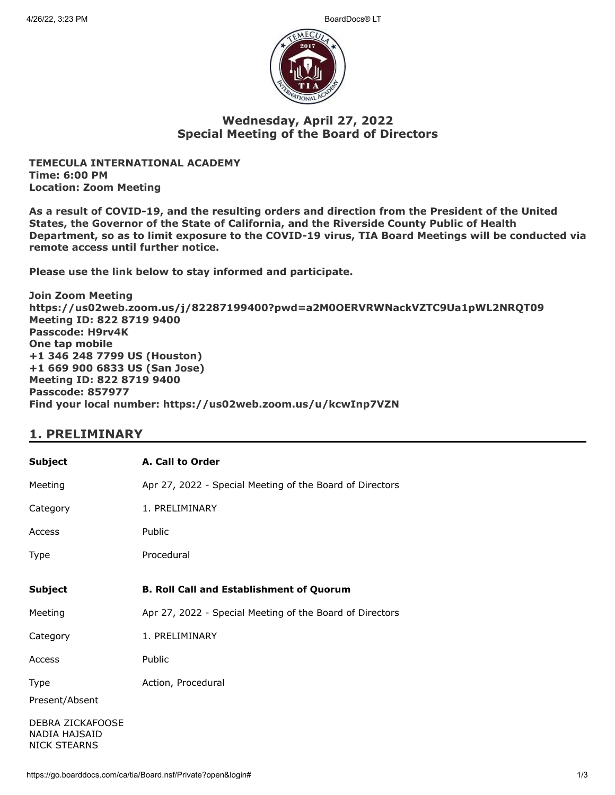

### **Wednesday, April 27, 2022 Special Meeting of the Board of Directors**

**TEMECULA INTERNATIONAL ACADEMY Time: 6:00 PM Location: Zoom Meeting**

**As a result of COVID-19, and the resulting orders and direction from the President of the United States, the Governor of the State of California, and the Riverside County Public of Health Department, so as to limit exposure to the COVID-19 virus, TIA Board Meetings will be conducted via remote access until further notice.**

**Please use the link below to stay informed and participate.** 

**Join Zoom Meeting https://us02web.zoom.us/j/82287199400?pwd=a2M0OERVRWNackVZTC9Ua1pWL2NRQT09 Meeting ID: 822 8719 9400 Passcode: H9rv4K One tap mobile +1 346 248 7799 US (Houston) +1 669 900 6833 US (San Jose) Meeting ID: 822 8719 9400 Passcode: 857977 Find your local number: https://us02web.zoom.us/u/kcwInp7VZN**

## **1. PRELIMINARY**

| <b>Subject</b>                                           | A. Call to Order                                         |
|----------------------------------------------------------|----------------------------------------------------------|
| Meeting                                                  | Apr 27, 2022 - Special Meeting of the Board of Directors |
| Category                                                 | 1. PRELIMINARY                                           |
| Access                                                   | Public                                                   |
| Type                                                     | Procedural                                               |
| <b>Subject</b>                                           | <b>B. Roll Call and Establishment of Quorum</b>          |
| Meeting                                                  | Apr 27, 2022 - Special Meeting of the Board of Directors |
| Category                                                 | 1. PRELIMINARY                                           |
| Access                                                   | Public                                                   |
| Type                                                     | Action, Procedural                                       |
| Present/Absent                                           |                                                          |
| DEBRA ZICKAFOOSE<br>NADIA HAJSAID<br><b>NICK STEARNS</b> |                                                          |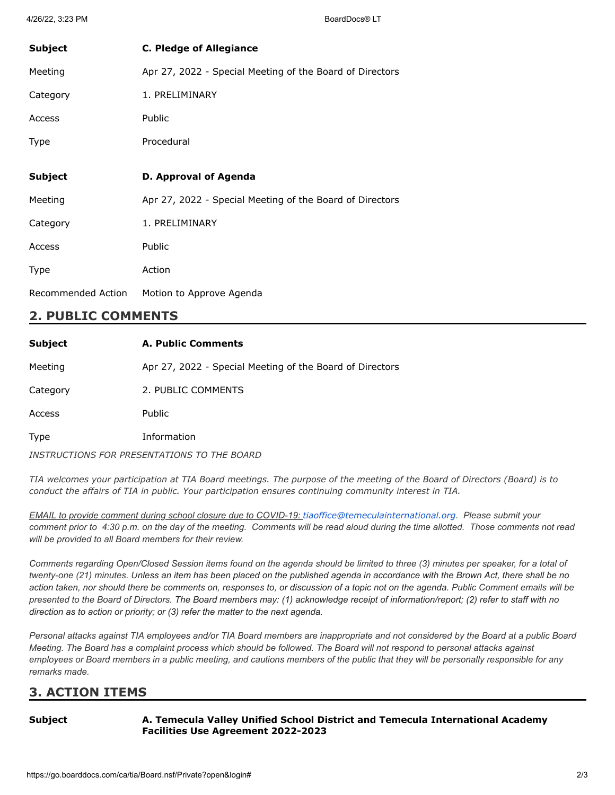| <b>Subject</b> | <b>C. Pledge of Allegiance</b>                           |
|----------------|----------------------------------------------------------|
| Meeting        | Apr 27, 2022 - Special Meeting of the Board of Directors |
| Category       | 1. PRELIMINARY                                           |
| Access         | Public                                                   |
| <b>Type</b>    | Procedural                                               |
|                |                                                          |
| <b>Subject</b> | D. Approval of Agenda                                    |
|                |                                                          |
| Meeting        | Apr 27, 2022 - Special Meeting of the Board of Directors |
| Category       | 1. PRELIMINARY                                           |
| Access         | Public                                                   |
| Type           | Action                                                   |

## **2. PUBLIC COMMENTS**

| <b>Subject</b> | <b>A. Public Comments</b>                                |
|----------------|----------------------------------------------------------|
| Meeting        | Apr 27, 2022 - Special Meeting of the Board of Directors |
| Category       | 2. PUBLIC COMMENTS                                       |
| Access         | <b>Public</b>                                            |
| Type           | Information                                              |
|                | INSTRUCTIONS FOR PRESENTATIONS TO THE BOARD              |

TIA welcomes your participation at TIA Board meetings. The purpose of the meeting of the Board of Directors (Board) is to *conduct the affairs of TIA in public. Your participation ensures continuing community interest in TIA.*

*EMAIL to provide comment during school closure due to COVID-19: [tiaoffice@temeculainternational.org](mailto:tiaoffice@temeculainternational.org). Please submit your comment prior to 4:30 p.m. on the day of the meeting. Comments will be read aloud during the time allotted. Those comments not read will be provided to all Board members for their review.*

*Comments regarding Open/Closed Session items found on the agenda should be limited to three (3) minutes per speaker, for a total of twenty-one (21) minutes. Unless an item has been placed on the published agenda in accordance with the Brown Act, there shall be no action taken, nor should there be comments on, responses to, or discussion of a topic not on the agenda. Public Comment emails will be presented to the Board of Directors. The Board members may: (1) acknowledge receipt of information/report; (2) refer to staff with no direction as to action or priority; or (3) refer the matter to the next agenda.*

*Personal attacks against TIA employees and/or TIA Board members are inappropriate and not considered by the Board at a public Board Meeting. The Board has a complaint process which should be followed. The Board will not respond to personal attacks against employees or Board members in a public meeting, and cautions members of the public that they will be personally responsible for any remarks made.*

# **3. ACTION ITEMS**

**Subject A. Temecula Valley Unified School District and Temecula International Academy Facilities Use Agreement 2022-2023**